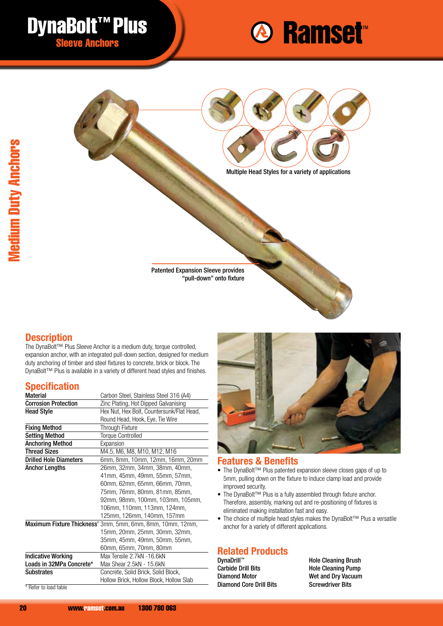





## **Description**

The DynaBolt™ Plus Sleeve Anchor is a medium duty, torque controlled, expansion anchor, with an integrated pull-down section, designed for medium duty anchoring of timber and steel fixtures to concrete, brick or block. The DynaBolt™ Plus is available in a variety of different head styles and finishes.

## **Specification**

| <b>Material</b>               | Carbon Steel, Stainless Steel 316 (A4)                     |
|-------------------------------|------------------------------------------------------------|
| <b>Corrosion Protection</b>   | Zinc Plating, Hot Dipped Galvanising                       |
| <b>Head Style</b>             | Hex Nut, Hex Bolt, Countersunk/Flat Head,                  |
|                               | Round Head, Hook, Eye, Tie Wire                            |
| <b>Fixing Method</b>          | Through Fixture                                            |
| <b>Setting Method</b>         | <b>Torque Controlled</b>                                   |
| <b>Anchoring Method</b>       | Expansion                                                  |
| <b>Thread Sizes</b>           | M4.5, M6, M8, M10, M12, M16                                |
| <b>Drilled Hole Diameters</b> | 6mm, 8mm, 10mm, 12mm, 16mm, 20mm                           |
| <b>Anchor Lengths</b>         | 26mm, 32mm, 34mm, 38mm, 40mm,                              |
|                               | 41mm, 45mm, 49mm, 55mm, 57mm,                              |
|                               | 60mm, 62mm, 65mm, 66mm, 70mm,                              |
|                               | 75mm, 76mm, 80mm, 81mm, 85mm,                              |
|                               | 92mm, 98mm, 100mm, 103mm, 105mm,                           |
|                               | 106mm, 110mm, 113mm, 124mm,                                |
|                               | 125mm, 126mm, 140mm, 157mm                                 |
|                               | Maximum Fixture Thickness' 3mm, 5mm, 6mm, 8mm, 10mm, 12mm, |
|                               | 15mm, 20mm, 25mm, 30mm, 32mm,                              |
|                               | 35mm, 45mm, 49mm, 50mm, 55mm,                              |
|                               | 60mm, 65mm, 70mm, 80mm                                     |
| <b>Indicative Working</b>     | Max Tensile 2.7kN -16.6kN                                  |
| Loads in 32MPa Concrete*      | Max Shear 2.5kN - 15.6kN                                   |
| <b>Substrates</b>             | Concrete, Solid Brick, Solid Block,                        |
|                               | Hollow Brick, Hollow Block, Hollow Slab                    |
|                               |                                                            |

\* Refer to load table



#### **Features & Benefits**

- The DynaBolt™ Plus patented expansion sleeve closes gaps of up to 5mm, pulling down on the fixture to induce clamp load and provide improved security.
- The DynaBolt™ Plus is a fully assembled through fixture anchor. Therefore, assembly, marking out and re-positioning of fixtures is eliminated making installation fast and easy.
- The choice of multiple head styles makes the DynaBolt™ Plus a versatile anchor for a variety of different applications.

#### **Related Products** DynaDrill™

Carbide Drill Bits Diamond Motor Diamond Core Drill Bits Hole Cleaning Brush Hole Cleaning Pump Wet and Dry Vacuum Screwdriver Bits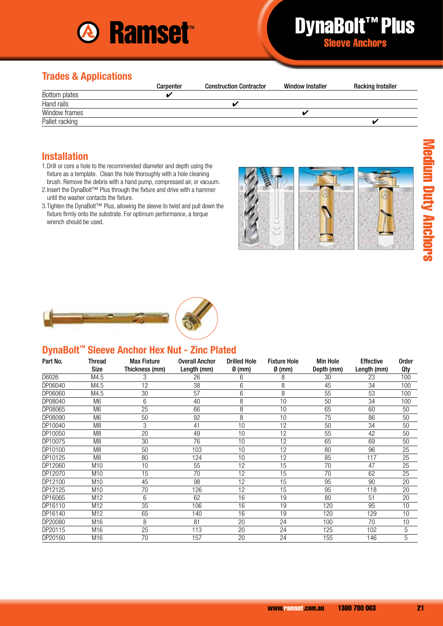

# DynaBolt™ Plus Sleeve Anchors

## **Trades & Applications**

|                | Carpenter | <b>Construction Contractor</b> | <b>Window Installer</b> | <b>Racking Installer</b> |
|----------------|-----------|--------------------------------|-------------------------|--------------------------|
| Bottom plates  |           |                                |                         |                          |
| Hand rails     |           | a.                             |                         |                          |
| Window frames  |           |                                |                         |                          |
| Pallet racking |           |                                |                         |                          |

#### **Installation**

- 1.Drill or core a hole to the recommended diameter and depth using the fixture as a template. Clean the hole thoroughly with a hole cleaning brush. Remove the debris with a hand pump, compressed air, or vacuum.
- 2. Insert the DynaBolt™ Plus through the fixture and drive with a hammer until the washer contacts the fixture.
- 3.Tighten the DynaBolt™ Plus, allowing the sleeve to twist and pull down the fixture firmly onto the substrate. For optimum performance, a torque wrench should be used.





## **DynaBolt™ Sleeve Anchor Hex Nut - Zinc Plated**

| Part No. | Thread          | <b>Max Fixture</b> | <b>Overall Anchor</b> | <b>Drilled Hole</b> | <b>Fixture Hole</b> | <b>Min Hole</b> | <b>Effective</b> | <b>Order</b> |
|----------|-----------------|--------------------|-----------------------|---------------------|---------------------|-----------------|------------------|--------------|
|          | <b>Size</b>     | Thickness (mm)     | Length (mm)           | $\emptyset$ (mm)    | $\emptyset$ (mm)    | Depth (mm)      | Length (mm)      | Qty          |
| D6026    | M4.5            | 3                  | 26                    | 6                   | 8                   | 30              | 23               | 100          |
| DP06040  | M4.5            | 12                 | 38                    | 6                   | 8                   | 45              | 34               | 100          |
| DP06060  | M4.5            | 30                 | 57                    | 6                   | 8                   | 55              | 53               | 100          |
| DP08040  | M <sub>6</sub>  | 6                  | 40                    | 8                   | 10                  | 50              | 34               | 100          |
| DP08065  | M <sub>6</sub>  | 25                 | 66                    | 8                   | 10                  | 65              | 60               | 50           |
| DP08090  | M <sub>6</sub>  | 50                 | 92                    | 8                   | 10                  | 75              | 86               | 50           |
| DP10040  | M <sub>8</sub>  | 3                  | 41                    | 10                  | 12                  | 50              | 34               | 50           |
| DP10050  | M <sub>8</sub>  | 20                 | 49                    | 10                  | 12                  | 55              | 42               | 50           |
| DP10075  | M <sub>8</sub>  | 30                 | 76                    | 10                  | 12                  | 65              | 69               | 50           |
| DP10100  | M <sub>8</sub>  | 50                 | 103                   | 10                  | 12                  | 80              | 96               | 25           |
| DP10125  | M <sub>8</sub>  | 80                 | 124                   | 10                  | 12                  | 85              | 117              | 25           |
| DP12060  | M <sub>10</sub> | 10                 | 55                    | 12                  | 15                  | 70              | 47               | 25           |
| DP12070  | M10             | 15                 | 70                    | $\overline{12}$     | 15                  | 70              | 62               | 25           |
| DP12100  | M <sub>10</sub> | 45                 | 98                    | 12                  | 15                  | 95              | 90               | 20           |
| DP12125  | M <sub>10</sub> | 70                 | 126                   | 12                  | 15                  | 95              | 118              | 20           |
| DP16065  | M <sub>12</sub> | 6                  | 62                    | 16                  | 19                  | 80              | 51               | 20           |
| DP16110  | M <sub>12</sub> | 35                 | 106                   | 16                  | 19                  | 120             | 95               | 10           |
| DP16140  | M12             | 65                 | 140                   | 16                  | 19                  | 120             | 129              | 10           |
| DP20080  | M <sub>16</sub> | 8                  | 81                    | 20                  | 24                  | 100             | 70               | 10           |
| DP20115  | M16             | 25                 | 113                   | 20                  | 24                  | 125             | 102              | 5            |
| DP20160  | M16             | 70                 | 157                   | 20                  | 24                  | 155             | 146              | 5            |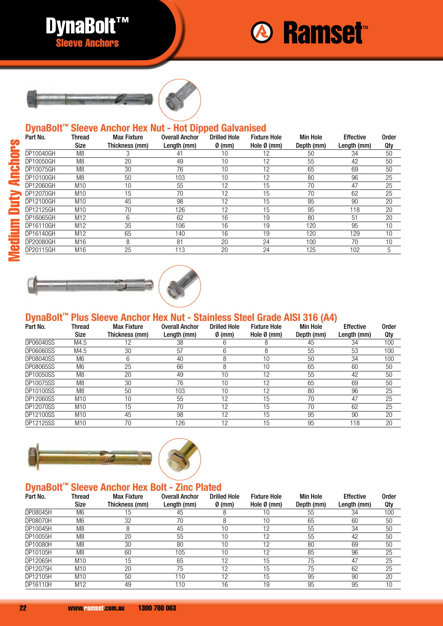





## **DynaBolt™ Sleeve Anchor Hex Nut - Hot Dipped Galvanised**

| Part No.  | Thread<br>Size  | <b>Max Fixture</b><br>Thickness (mm) | <b>Overall Anchor</b><br>Length (mm) | <b>Drilled Hole</b><br>$\emptyset$ (mm) | <b>Fixture Hole</b><br>Hole $\emptyset$ (mm) | <b>Min Hole</b><br>Depth (mm) | <b>Effective</b><br>Length (mm) | <b>Order</b><br><b>Qty</b> |
|-----------|-----------------|--------------------------------------|--------------------------------------|-----------------------------------------|----------------------------------------------|-------------------------------|---------------------------------|----------------------------|
| DP10040GH | M <sub>8</sub>  | 3                                    | 41                                   | 10                                      | 12                                           | 50                            | 34                              | 50                         |
| DP10050GH | M <sub>8</sub>  | 20                                   | 49                                   | 10                                      | 12                                           | 55                            | 42                              | 50                         |
| DP10075GH | M <sub>8</sub>  | 30                                   | 76                                   | 10                                      | 12                                           | 65                            | 69                              | 50                         |
| DP10100GH | M8              | 50                                   | 103                                  | 10                                      | 12                                           | 80                            | 96                              | 25                         |
| DP12060GH | M <sub>10</sub> | 10                                   | 55                                   | 12                                      | 15                                           | 70                            | 47                              | 25                         |
| DP12070GH | M <sub>10</sub> | 15                                   | 70                                   | 12                                      | 15                                           | 70                            | 62                              | 25                         |
| DP12100GH | M <sub>10</sub> | 45                                   | 98                                   | 12                                      | 15                                           | 95                            | 90                              | 20                         |
| DP12125GH | M10             | 70                                   | 126                                  | 12                                      | 15                                           | 95                            | 118                             | 20                         |
| DP16065GH | M <sub>12</sub> | 6                                    | 62                                   | 16                                      | 19                                           | 80                            | 51                              | 20                         |
| DP16110GH | M <sub>12</sub> | 35                                   | 106                                  | 16                                      | 19                                           | 120                           | 95                              | 10                         |
| DP16140GH | M <sub>12</sub> | 65                                   | 140                                  | 16                                      | 19                                           | 120                           | 129                             | 10                         |
| DP20080GH | M16             | 8                                    | 81                                   | 20                                      | 24                                           | 100                           | 70                              | 10                         |
| DP20115GH | M16             | 25                                   | 113                                  | 20                                      | 24                                           | 125                           | 102                             | 5                          |



## **DynaBolt™ Plus Sleeve Anchor Hex Nut - Stainless Steel Grade AISI 316 (A4)**

| Part No.         | Thread          | <b>Max Fixture</b> | <b>Overall Anchor</b> | <b>Drilled Hole</b> | <b>Fixture Hole</b>   | <b>Min Hole</b> | <b>Effective</b> | <b>Order</b> |
|------------------|-----------------|--------------------|-----------------------|---------------------|-----------------------|-----------------|------------------|--------------|
|                  | Size            | Thickness (mm)     | Length (mm)           | $\emptyset$ (mm)    | Hole $\emptyset$ (mm) | Depth (mm)      | Length (mm)      | Qty          |
| DP06040SS        | M4.5            | 12                 | 38                    | 6                   | 8                     | 45              | 34               | 100          |
| <b>DP06060SS</b> | M4.5            | 30                 | 57                    | 6                   | 8                     | 55              | 53               | 100          |
| DP08040SS        | M <sub>6</sub>  | 6                  | 40                    | 8                   | 10                    | 50              | 34               | 100          |
| <b>DP08065SS</b> | M <sub>6</sub>  | 25                 | 66                    | 8                   | 10                    | 65              | 60               | 50           |
| DP10050SS        | M <sub>8</sub>  | 20                 | 49                    | 10                  | 12                    | 55              | 42               | 50           |
| DP10075SS        | M8              | 30                 | 76                    | 10                  | 12                    | 65              | 69               | 50           |
| DP10100SS        | M <sub>8</sub>  | 50                 | 103                   | 10                  | 12                    | 80              | 96               | 25           |
| DP12060SS        | M10             | 10                 | 55                    | 12                  | 15                    | 70              | 47               | 25           |
| DP12070SS        | M10             | 15                 | 70                    | 12                  | 15                    | 70              | 62               | 25           |
| DP12100SS        | M <sub>10</sub> | 45                 | 98                    | 12                  | 15                    | 95              | 90               | 20           |
| DP12125SS        | M <sub>10</sub> | 70                 | 126                   | 12                  | 15                    | 95              | 118              | 20           |



# **DynaBolt™ Sleeve Anchor Hex Bolt - Zinc Plated**

| Part No. | Thread<br><b>Size</b> | <b>Max Fixture</b><br>Thickness (mm) | <b>Overall Anchor</b><br>Length (mm) | <b>Drilled Hole</b><br>$\emptyset$ (mm) | <b>Fixture Hole</b><br>Hole $\emptyset$ (mm) | <b>Min Hole</b><br>Depth (mm) | <b>Effective</b><br>Length (mm) | <b>Order</b><br>0ty |
|----------|-----------------------|--------------------------------------|--------------------------------------|-----------------------------------------|----------------------------------------------|-------------------------------|---------------------------------|---------------------|
| DP08045H | M6                    | 15                                   | 45                                   | 8                                       | 10                                           | 55                            | 34                              | 100                 |
| DP08070H | M6                    | 32                                   | 70                                   | 8                                       | 10                                           | 65                            | 60                              | 50                  |
| DP10045H | M8                    | 8                                    | 45                                   | 10                                      | 12                                           | 55                            | 34                              | 50                  |
| DP10055H | M8                    | 20                                   | 55                                   | 10                                      | 12                                           | 55                            | 42                              | 50                  |
| DP10080H | M <sub>8</sub>        | 30                                   | 80                                   | 10                                      | 12                                           | 80                            | 69                              | 50                  |
| DP10105H | M8                    | 60                                   | 105                                  | 10                                      | 12                                           | 85                            | 96                              | 25                  |
| DP12065H | M10                   | 15                                   | 65                                   | 12                                      | 15                                           | 75                            | 47                              | 25                  |
| DP12075H | M10                   | 20                                   | 75                                   | 12                                      | 15                                           | 75                            | 62                              | 25                  |
| DP12105H | M10                   | 50                                   | $\overline{10}$                      | 12                                      | 15                                           | 95                            | 90                              | 20                  |
| DP16110H | M <sub>12</sub>       | 49                                   | 110                                  | 16                                      | 19                                           | 95                            | 95                              | 10                  |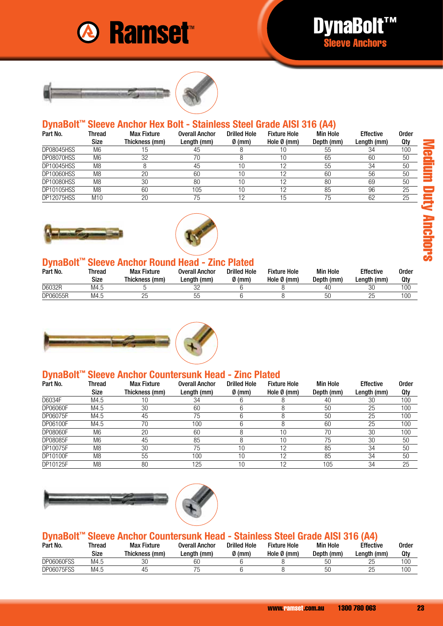





#### **DynaBolt™ Sleeve Anchor Hex Bolt - Stainless Steel Grade AISI 316 (A4)**

| Part No.          | Thread<br>Size  | <b>Max Fixture</b><br>Thickness (mm) | <b>Overall Anchor</b><br>Length (mm) | <b>Drilled Hole</b><br>$\emptyset$ (mm) | <b>Fixture Hole</b><br>Hole $\emptyset$ (mm) | <b>Min Hole</b><br>Depth (mm) | <b>Effective</b><br>Length (mm) | <b>Order</b><br>Qty |
|-------------------|-----------------|--------------------------------------|--------------------------------------|-----------------------------------------|----------------------------------------------|-------------------------------|---------------------------------|---------------------|
| DP08045HSS        | M6              | 15                                   | 45                                   |                                         |                                              | 55                            | 34                              | 100                 |
| DP08070HSS        | M <sub>6</sub>  | 32                                   | 70                                   |                                         | 10                                           | 65                            | 60                              | 50                  |
| DP10045HSS        | M <sub>8</sub>  |                                      | 45                                   | 10                                      |                                              | 55                            | 34                              | 50                  |
| DP10060HSS        | M <sub>8</sub>  | 20                                   | 60                                   | 10                                      |                                              | 60                            | 56                              | 50                  |
| <b>DP10080HSS</b> | M <sub>8</sub>  | 30                                   | 80                                   | 10                                      |                                              | 80                            | 69                              | 50                  |
| DP10105HSS        | M <sub>8</sub>  | 60                                   | 105                                  | 10                                      |                                              | 85                            | 96                              | 25                  |
| <b>DP12075HSS</b> | M <sub>10</sub> | 20                                   | 75                                   | 19                                      | 15                                           | 75                            | 62                              | 25                  |





## **DynaBolt™ Sleeve Anchor Round Head - Zinc Plated**

| Part No. | Thread<br>Size | <b>Max Fixture</b><br>Thickness (mm) | Overall Anchor<br>Lenath (mm) | <b>Drilled Hole</b><br>$\emptyset$ (mm) | <b>Fixture Hole</b><br>Hole Ø (mm) | <b>Min Hole</b><br>Depth (mm) | <b>Effective</b><br>Lenath (mm) | Order<br>Qty |
|----------|----------------|--------------------------------------|-------------------------------|-----------------------------------------|------------------------------------|-------------------------------|---------------------------------|--------------|
| D6032R   | M4.5           |                                      | n <sub>n</sub>                |                                         |                                    | 40                            | 30                              | 100          |
| DP06055R | M4.5           | 25                                   | hŀ<br>UU                      |                                         |                                    | 50                            | 25                              | 100          |



## **DynaBolt™ Sleeve Anchor Countersunk Head - Zinc Plated**

| Part No. | Thread         | <b>Max Fixture</b> | <b>Overall Anchor</b> | <b>Drilled Hole</b> | <b>Fixture Hole</b>   | <b>Min Hole</b> | <b>Effective</b> | Order |
|----------|----------------|--------------------|-----------------------|---------------------|-----------------------|-----------------|------------------|-------|
|          | Size           | Thickness (mm)     | Length (mm)           | $\emptyset$ (mm)    | Hole $\emptyset$ (mm) | Depth (mm)      | Length (mm)      | Qty   |
| D6034F   | M4.5           | 10                 | 34                    |                     |                       | 40              | 30               | 100   |
| DP06060F | M4.5           | 30                 | 60                    |                     |                       | 50              | 25               | 100   |
| DP06075F | M4.5           | 45                 | 75                    |                     |                       | 50              | 25               | 100   |
| DP06100F | M4.5           | 70                 | 100                   |                     |                       | 60              | 25               | 100   |
| DP08060F | M6             | 20                 | 60                    |                     | 10                    | 70              | 30               | 100   |
| DP08085F | M <sub>6</sub> | 45                 | 85                    |                     | 10                    | 75              | 30               | 50    |
| DP10075F | M <sub>8</sub> | 30                 | 75                    | 10                  | 12                    | 85              | 34               | 50    |
| DP10100F | M <sub>8</sub> | 55                 | 100                   | 10                  | 12                    | 85              | 34               | 50    |
| DP10125F | M <sub>8</sub> | 80                 | 125                   | 10                  | 12                    | 105             | 34               | 25    |



# **DynaBolt™ Sleeve Anchor Countersunk Head - Stainless Steel Grade AISI 316 (A4)**

| Part No.          | Thread | <b>Max Fixture</b> | Overall Anchor | <b>Drilled Hole</b> | <b>Fixture Hole</b> | <b>Min Hole</b> | <b>Effective</b> | Order |
|-------------------|--------|--------------------|----------------|---------------------|---------------------|-----------------|------------------|-------|
|                   | Size   | Thickness (mm)     | Lenath (mm)    | $\emptyset$ (mm)    | Hole Ø (mm)         | Depth (mm)      | ∟ength (mm)      | Qty   |
| <b>DP06060FSS</b> | M4.5   | 30                 | 60             |                     |                     | F۲<br>◡◡        | 25               | 100   |
| <b>DP06075FSS</b> | M4.5   | 45                 |                |                     |                     | F۲<br>vv        | 25               | 100   |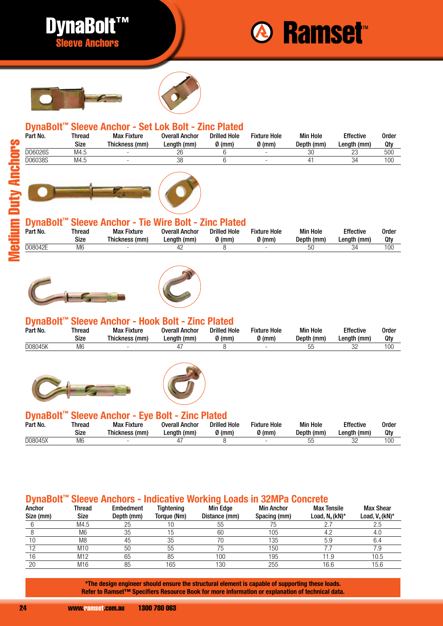







## **DynaBolt™ Sleeve Anchor - Set Lok Bolt - Zinc Plated**

| Part No. | Thread<br>Size | <b>Max Fixture</b><br>Thickness (mm) | <b>Overall Anchor</b><br>Length (mm) | <b>Drilled Hole</b><br>0 (mm) | <b>Fixture Hole</b><br>$\emptyset$ (mm) | <b>Min Hole</b><br>Depth (mm) | <b>Effective</b><br>Length (mm) | <b>Order</b><br>Qty |
|----------|----------------|--------------------------------------|--------------------------------------|-------------------------------|-----------------------------------------|-------------------------------|---------------------------------|---------------------|
| D06026S  | M4.5           |                                      | 26                                   |                               | $\overline{\phantom{a}}$                | 30                            | nn<br>ZJ                        | 500                 |
| D06038S  | M4.5           |                                      | 38                                   |                               |                                         |                               | 34                              | 100                 |



## **DynaBolt™ Sleeve Anchor - Tie Wire Bolt - Zinc Plated**

| Part No. | Thread<br>Size | <b>Max Fixture</b><br>Thickness<br>(mm) | Overall Anchor<br>∟enath<br>' (mm) | <b>Drilled Hole</b><br>Ø (mm) | Fixture Hole<br>0 (mm) | <b>Min Hole</b><br>Depth (mm) | <b>Effective</b><br>Lenath (mm) | Order<br>Qh |
|----------|----------------|-----------------------------------------|------------------------------------|-------------------------------|------------------------|-------------------------------|---------------------------------|-------------|
| D08042E  | M6             |                                         |                                    |                               | ۰                      | ы                             | 34                              | 100         |





#### **DynaBolt™ Sleeve Anchor - Hook Bolt - Zinc Plated**

|         | Size | Thickness (mm) | Length (mm) | <b>Drilled Hole</b><br>$\emptyset$ (mm) | <b>Fixture Hole</b><br>$\emptyset$ (mm) | <b>Min Hole</b><br>Depth (mm) | <b>Effective</b><br>Length (mm) | Order<br>Qty |
|---------|------|----------------|-------------|-----------------------------------------|-----------------------------------------|-------------------------------|---------------------------------|--------------|
| D08045K | M6   | -              |             |                                         |                                         | $ -$<br>いい<br>υu              | nn<br>ےں                        | 100          |





#### **DynaBolt™ Sleeve Anchor - Eye Bolt - Zinc Plated**

| Part No. | Thread<br>Size | Max Fixture<br>Thickness (mm) | Overall Anchor<br>Lenath (mm) | -----<br><b>Drilled Hole</b><br>$\Omega$ (mm) | <b>Fixture Hole</b><br>0 (mm) | <b>Min Hole</b><br>Depth (mm) | Effective<br>Lenath (mm) | Order<br>Qt |
|----------|----------------|-------------------------------|-------------------------------|-----------------------------------------------|-------------------------------|-------------------------------|--------------------------|-------------|
| D08045X  | M6             |                               |                               |                                               |                               |                               | ےں                       | 400<br>I UU |

## **DynaBolt™ Sleeve Anchors - Indicative Working Loads in 32MPa Concrete**

| Anchor    | Thread          | <b>Embedment</b> | Tightening  | <b>Min Edge</b> | <b>Min Anchor</b> | <b>Max Tensile</b> | <b>Max Shear</b>  |
|-----------|-----------------|------------------|-------------|-----------------|-------------------|--------------------|-------------------|
| Size (mm) | Size            | Depth (mm)       | Torque (Nm) | Distance (mm)   | Spacing (mm)      | Load, $N_a(kN)^*$  | Load, $V_a(kN)^*$ |
|           | M4.5            | 25               |             | . ხე            |                   |                    | 2.5               |
|           | M <sub>6</sub>  | 35               |             | 60              | 105               | 4.2                | 4.0               |
|           | M <sub>8</sub>  | 45               | 35          |                 | 135               | 5.9                | 6.4               |
|           | M <sub>10</sub> | 50               | 55          |                 | 150               |                    | 7.9               |
| 16        | M12             | 65               | 85          | 100             | 195               | 1.9                | 10.5              |
| 20        | M16             | 85               | 165         | 130             | 255               | 16.6               | 15.6              |

**\*The design engineer should ensure the structural element is capable of supporting these loads. Refer to Ramset™ Specifiers Resource Book for more information or explanation of technical data.**